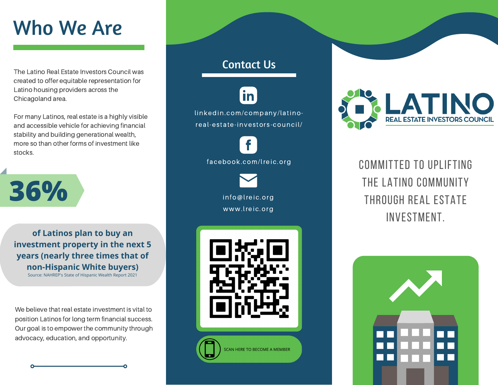# Who We Are

The Latino Real Estate Investors Council was created to offer equitable representation for Latino housing providers across the Chicagoland area.

For many Latinos, real estate is a highly visible and accessible vehicle for achieving financial stability and building generational wealth, more so than other forms of investment like stocks.



**of Latinos plan to buy an investment property in the next 5 years (nearly three times that of non-Hispanic White buyers)**

Source: [NAHREP's State of Hispanic Wealth](https://hispanicwealthproject.org/annual-report/) Report 2021

We believe that real estate investment is vital to position Latinos for long term financial success. Our goal is to empower the community through advocacy, education, and opportunity.

### Contact Us

in linkedin.com/company/latinoreal-estate-investors-council/

> info@lreic.org www.lreic.org facebook.com/lreic.org



SCAN HERE TO BECOME A MEMBER



Committed to uplifting THE LATINO COMMUNITY through real estate investment.